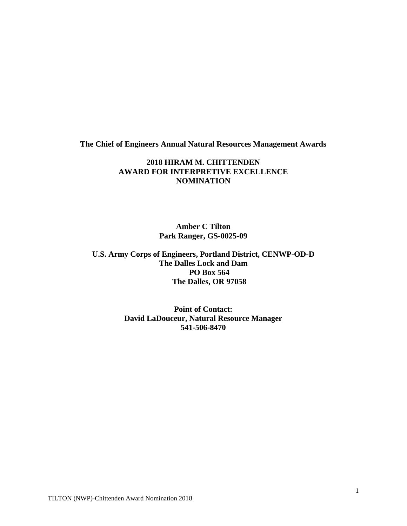**The Chief of Engineers Annual Natural Resources Management Awards**

# **2018 HIRAM M. CHITTENDEN AWARD FOR INTERPRETIVE EXCELLENCE NOMINATION**

**Amber C Tilton Park Ranger, GS-0025-09**

**U.S. Army Corps of Engineers, Portland District, CENWP-OD-D The Dalles Lock and Dam PO Box 564 The Dalles, OR 97058**

> **Point of Contact: David LaDouceur, Natural Resource Manager 541-506-8470**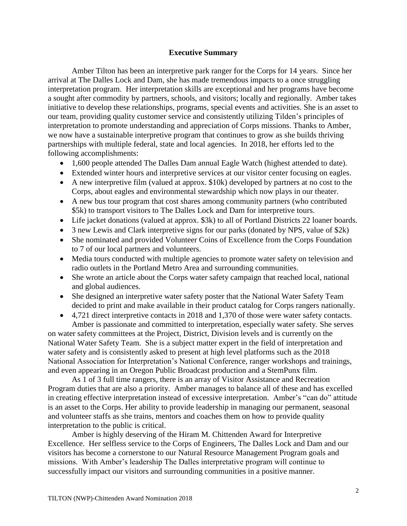## **Executive Summary**

Amber Tilton has been an interpretive park ranger for the Corps for 14 years. Since her arrival at The Dalles Lock and Dam, she has made tremendous impacts to a once struggling interpretation program. Her interpretation skills are exceptional and her programs have become a sought after commodity by partners, schools, and visitors; locally and regionally. Amber takes initiative to develop these relationships, programs, special events and activities. She is an asset to our team, providing quality customer service and consistently utilizing Tilden's principles of interpretation to promote understanding and appreciation of Corps missions. Thanks to Amber, we now have a sustainable interpretive program that continues to grow as she builds thriving partnerships with multiple federal, state and local agencies. In 2018, her efforts led to the following accomplishments:

- 1,600 people attended The Dalles Dam annual Eagle Watch (highest attended to date).
- Extended winter hours and interpretive services at our visitor center focusing on eagles.
- A new interpretive film (valued at approx. \$10k) developed by partners at no cost to the Corps, about eagles and environmental stewardship which now plays in our theater.
- A new bus tour program that cost shares among community partners (who contributed \$5k) to transport visitors to The Dalles Lock and Dam for interpretive tours.
- Life jacket donations (valued at approx. \$3k) to all of Portland Districts 22 loaner boards.
- 3 new Lewis and Clark interpretive signs for our parks (donated by NPS, value of \$2k)
- She nominated and provided Volunteer Coins of Excellence from the Corps Foundation to 7 of our local partners and volunteers.
- Media tours conducted with multiple agencies to promote water safety on television and radio outlets in the Portland Metro Area and surrounding communities.
- She wrote an article about the Corps water safety campaign that reached local, national and global audiences.
- She designed an interpretive water safety poster that the National Water Safety Team decided to print and make available in their product catalog for Corps rangers nationally.
- 4,721 direct interpretive contacts in 2018 and 1,370 of those were water safety contacts. Amber is passionate and committed to interpretation, especially water safety. She serves

on water safety committees at the Project, District, Division levels and is currently on the National Water Safety Team. She is a subject matter expert in the field of interpretation and water safety and is consistently asked to present at high level platforms such as the 2018 National Association for Interpretation's National Conference, ranger workshops and trainings, and even appearing in an Oregon Public Broadcast production and a StemPunx film.

As 1 of 3 full time rangers, there is an array of Visitor Assistance and Recreation Program duties that are also a priority. Amber manages to balance all of these and has excelled in creating effective interpretation instead of excessive interpretation. Amber's "can do" attitude is an asset to the Corps. Her ability to provide leadership in managing our permanent, seasonal and volunteer staffs as she trains, mentors and coaches them on how to provide quality interpretation to the public is critical.

Amber is highly deserving of the Hiram M. Chittenden Award for Interpretive Excellence. Her selfless service to the Corps of Engineers, The Dalles Lock and Dam and our visitors has become a cornerstone to our Natural Resource Management Program goals and missions. With Amber's leadership The Dalles interpretative program will continue to successfully impact our visitors and surrounding communities in a positive manner.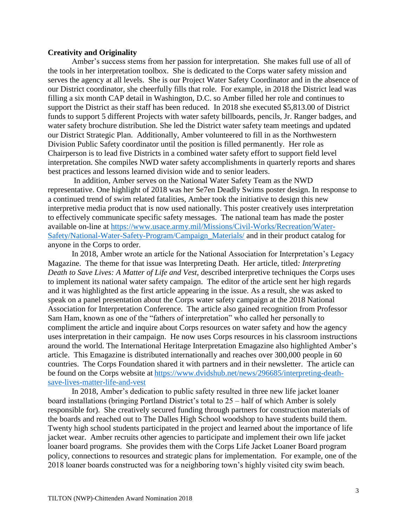### **Creativity and Originality**

Amber's success stems from her passion for interpretation. She makes full use of all of the tools in her interpretation toolbox. She is dedicated to the Corps water safety mission and serves the agency at all levels. She is our Project Water Safety Coordinator and in the absence of our District coordinator, she cheerfully fills that role. For example, in 2018 the District lead was filling a six month CAP detail in Washington, D.C. so Amber filled her role and continues to support the District as their staff has been reduced. In 2018 she executed \$5,813.00 of District funds to support 5 different Projects with water safety billboards, pencils, Jr. Ranger badges, and water safety brochure distribution. She led the District water safety team meetings and updated our District Strategic Plan. Additionally, Amber volunteered to fill in as the Northwestern Division Public Safety coordinator until the position is filled permanently. Her role as Chairperson is to lead five Districts in a combined water safety effort to support field level interpretation. She compiles NWD water safety accomplishments in quarterly reports and shares best practices and lessons learned division wide and to senior leaders.

In addition, Amber serves on the National Water Safety Team as the NWD representative. One highlight of 2018 was her Se7en Deadly Swims poster design. In response to a continued trend of swim related fatalities, Amber took the initiative to design this new interpretive media product that is now used nationally. This poster creatively uses interpretation to effectively communicate specific safety messages. The national team has made the poster available on-line at [https://www.usace.army.mil/Missions/Civil-Works/Recreation/Water-](https://www.usace.army.mil/Missions/Civil-Works/Recreation/Water-Safety/National-Water-Safety-Program/Campaign_Materials/)[Safety/National-Water-Safety-Program/Campaign\\_Materials/](https://www.usace.army.mil/Missions/Civil-Works/Recreation/Water-Safety/National-Water-Safety-Program/Campaign_Materials/) and in their product catalog for anyone in the Corps to order.

In 2018, Amber wrote an article for the National Association for Interpretation's Legacy Magazine. The theme for that issue was Interpreting Death. Her article, titled*: Interpreting Death to Save Lives: A Matter of Life and Vest*, described interpretive techniques the Corps uses to implement its national water safety campaign. The editor of the article sent her high regards and it was highlighted as the first article appearing in the issue. As a result, she was asked to speak on a panel presentation about the Corps water safety campaign at the 2018 National Association for Interpretation Conference. The article also gained recognition from Professor Sam Ham, known as one of the "fathers of interpretation" who called her personally to compliment the article and inquire about Corps resources on water safety and how the agency uses interpretation in their campaign. He now uses Corps resources in his classroom instructions around the world. The International Heritage Interpretation Emagazine also highlighted Amber's article. This Emagazine is distributed internationally and reaches over 300,000 people in 60 countries. The Corps Foundation shared it with partners and in their newsletter. The article can be found on the Corps website at [https://www.dvidshub.net/news/296685/interpreting-death](https://www.dvidshub.net/news/296685/interpreting-death-save-lives-matter-life-and-vest)[save-lives-matter-life-and-vest](https://www.dvidshub.net/news/296685/interpreting-death-save-lives-matter-life-and-vest)

In 2018, Amber's dedication to public safety resulted in three new life jacket loaner board installations (bringing Portland District's total to 25 – half of which Amber is solely responsible for). She creatively secured funding through partners for construction materials of the boards and reached out to The Dalles High School woodshop to have students build them. Twenty high school students participated in the project and learned about the importance of life jacket wear. Amber recruits other agencies to participate and implement their own life jacket loaner board programs. She provides them with the Corps Life Jacket Loaner Board program policy, connections to resources and strategic plans for implementation. For example, one of the 2018 loaner boards constructed was for a neighboring town's highly visited city swim beach.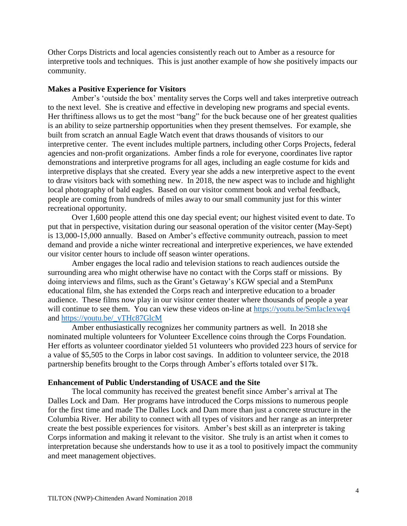Other Corps Districts and local agencies consistently reach out to Amber as a resource for interpretive tools and techniques. This is just another example of how she positively impacts our community.

### **Makes a Positive Experience for Visitors**

Amber's 'outside the box' mentality serves the Corps well and takes interpretive outreach to the next level. She is creative and effective in developing new programs and special events. Her thriftiness allows us to get the most "bang" for the buck because one of her greatest qualities is an ability to seize partnership opportunities when they present themselves. For example, she built from scratch an annual Eagle Watch event that draws thousands of visitors to our interpretive center. The event includes multiple partners, including other Corps Projects, federal agencies and non-profit organizations. Amber finds a role for everyone, coordinates live raptor demonstrations and interpretive programs for all ages, including an eagle costume for kids and interpretive displays that she created. Every year she adds a new interpretive aspect to the event to draw visitors back with something new. In 2018, the new aspect was to include and highlight local photography of bald eagles. Based on our visitor comment book and verbal feedback, people are coming from hundreds of miles away to our small community just for this winter recreational opportunity.

Over 1,600 people attend this one day special event; our highest visited event to date. To put that in perspective, visitation during our seasonal operation of the visitor center (May-Sept) is 13,000-15,000 annually. Based on Amber's effective community outreach, passion to meet demand and provide a niche winter recreational and interpretive experiences, we have extended our visitor center hours to include off season winter operations.

Amber engages the local radio and television stations to reach audiences outside the surrounding area who might otherwise have no contact with the Corps staff or missions. By doing interviews and films, such as the Grant's Getaway's KGW special and a StemPunx educational film, she has extended the Corps reach and interpretive education to a broader audience. These films now play in our visitor center theater where thousands of people a year will continue to see them. You can view these videos on-line at<https://youtu.be/SmIacIexwq4> and [https://youtu.be/\\_yTHc87GlcM](https://youtu.be/_yTHc87GlcM)

Amber enthusiastically recognizes her community partners as well. In 2018 she nominated multiple volunteers for Volunteer Excellence coins through the Corps Foundation. Her efforts as volunteer coordinator yielded 51 volunteers who provided 223 hours of service for a value of \$5,505 to the Corps in labor cost savings. In addition to volunteer service, the 2018 partnership benefits brought to the Corps through Amber's efforts totaled over \$17k.

#### **Enhancement of Public Understanding of USACE and the Site**

The local community has received the greatest benefit since Amber's arrival at The Dalles Lock and Dam. Her programs have introduced the Corps missions to numerous people for the first time and made The Dalles Lock and Dam more than just a concrete structure in the Columbia River. Her ability to connect with all types of visitors and her range as an interpreter create the best possible experiences for visitors. Amber's best skill as an interpreter is taking Corps information and making it relevant to the visitor. She truly is an artist when it comes to interpretation because she understands how to use it as a tool to positively impact the community and meet management objectives.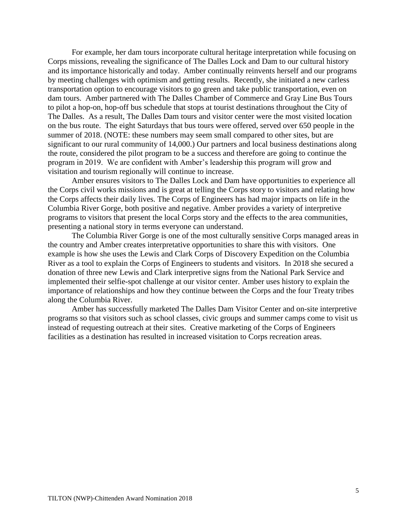For example, her dam tours incorporate cultural heritage interpretation while focusing on Corps missions, revealing the significance of The Dalles Lock and Dam to our cultural history and its importance historically and today. Amber continually reinvents herself and our programs by meeting challenges with optimism and getting results. Recently, she initiated a new carless transportation option to encourage visitors to go green and take public transportation, even on dam tours. Amber partnered with The Dalles Chamber of Commerce and Gray Line Bus Tours to pilot a hop-on, hop-off bus schedule that stops at tourist destinations throughout the City of The Dalles. As a result, The Dalles Dam tours and visitor center were the most visited location on the bus route. The eight Saturdays that bus tours were offered, served over 650 people in the summer of 2018. (NOTE: these numbers may seem small compared to other sites, but are significant to our rural community of 14,000.) Our partners and local business destinations along the route, considered the pilot program to be a success and therefore are going to continue the program in 2019. We are confident with Amber's leadership this program will grow and visitation and tourism regionally will continue to increase.

Amber ensures visitors to The Dalles Lock and Dam have opportunities to experience all the Corps civil works missions and is great at telling the Corps story to visitors and relating how the Corps affects their daily lives. The Corps of Engineers has had major impacts on life in the Columbia River Gorge, both positive and negative. Amber provides a variety of interpretive programs to visitors that present the local Corps story and the effects to the area communities, presenting a national story in terms everyone can understand.

The Columbia River Gorge is one of the most culturally sensitive Corps managed areas in the country and Amber creates interpretative opportunities to share this with visitors. One example is how she uses the Lewis and Clark Corps of Discovery Expedition on the Columbia River as a tool to explain the Corps of Engineers to students and visitors. In 2018 she secured a donation of three new Lewis and Clark interpretive signs from the National Park Service and implemented their selfie-spot challenge at our visitor center. Amber uses history to explain the importance of relationships and how they continue between the Corps and the four Treaty tribes along the Columbia River.

Amber has successfully marketed The Dalles Dam Visitor Center and on-site interpretive programs so that visitors such as school classes, civic groups and summer camps come to visit us instead of requesting outreach at their sites. Creative marketing of the Corps of Engineers facilities as a destination has resulted in increased visitation to Corps recreation areas.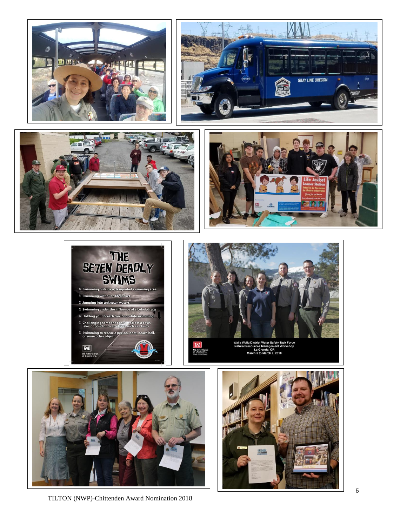















TILTON (NWP) -Chittenden Award Nomination 201 8